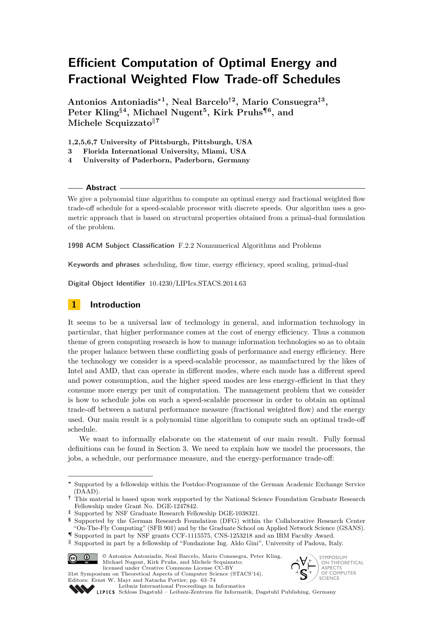# **Efficient Computation of Optimal Energy and Fractional Weighted Flow Trade-off Schedules**

**Antonios Antoniadis<sup>∗</sup><sup>1</sup> , Neal Barcelo†<sup>2</sup> , Mario Consuegra‡<sup>3</sup> , Peter Kling§<sup>4</sup> , Michael Nugent<sup>5</sup> , Kirk Pruhs¶<sup>6</sup> , and Michele Scquizzato<sup>k</sup><sup>7</sup>**

**1,2,5,6,7 University of Pittsburgh, Pittsburgh, USA**

- **3 Florida International University, Miami, USA**
- **4 University of Paderborn, Paderborn, Germany**

#### **Abstract**

We give a polynomial time algorithm to compute an optimal energy and fractional weighted flow trade-off schedule for a speed-scalable processor with discrete speeds. Our algorithm uses a geometric approach that is based on structural properties obtained from a primal-dual formulation of the problem.

**1998 ACM Subject Classification** F.2.2 Nonnumerical Algorithms and Problems

**Keywords and phrases** scheduling, flow time, energy efficiency, speed scaling, primal-dual

**Digital Object Identifier** [10.4230/LIPIcs.STACS.2014.63](http://dx.doi.org/10.4230/LIPIcs.STACS.2014.63)

# **1 Introduction**

It seems to be a universal law of technology in general, and information technology in particular, that higher performance comes at the cost of energy efficiency. Thus a common theme of green computing research is how to manage information technologies so as to obtain the proper balance between these conflicting goals of performance and energy efficiency. Here the technology we consider is a speed-scalable processor, as manufactured by the likes of Intel and AMD, that can operate in different modes, where each mode has a different speed and power consumption, and the higher speed modes are less energy-efficient in that they consume more energy per unit of computation. The management problem that we consider is how to schedule jobs on such a speed-scalable processor in order to obtain an optimal trade-off between a natural performance measure (fractional weighted flow) and the energy used. Our main result is a polynomial time algorithm to compute such an optimal trade-off schedule.

We want to informally elaborate on the statement of our main result. Fully formal definitions can be found in Section [3.](#page-2-0) We need to explain how we model the processors, the jobs, a schedule, our performance measure, and the energy-performance trade-off:

**<sup>¶</sup>** Supported in part by NSF grants CCF-1115575, CNS-1253218 and an IBM Faculty Award. **<sup>k</sup>** Supported in part by a fellowship of "Fondazione Ing. Aldo Gini", University of Padova, Italy.



© Antonios Antoniadis, Neal Barcelo, Mario Consuegra, Peter Kling, Michael Nugent, Kirk Pruhs, and Michele Scquizzato; licensed under Creative Commons License CC-BY 31st Symposium on Theoretical Aspects of Computer Science (STACS'14). Editors: Ernst W. Mayr and Natacha Portier; pp. 63[–74](#page-11-0)



[Leibniz International Proceedings in Informatics](http://www.dagstuhl.de/lipics/)

[Schloss Dagstuhl – Leibniz-Zentrum für Informatik, Dagstuhl Publishing, Germany](http://www.dagstuhl.de)

**<sup>∗</sup>** Supported by a fellowship within the Postdoc-Programme of the German Academic Exchange Service (DAAD).

**<sup>†</sup>** This material is based upon work supported by the National Science Foundation Graduate Research Fellowship under Grant No. DGE-1247842.

**<sup>‡</sup>** Supported by NSF Graduate Research Fellowship DGE-1038321.

**<sup>§</sup>** Supported by the German Research Foundation (DFG) within the Collaborative Research Center "On-The-Fly Computing" (SFB 901) and by the Graduate School on Applied Network Science (GSANS).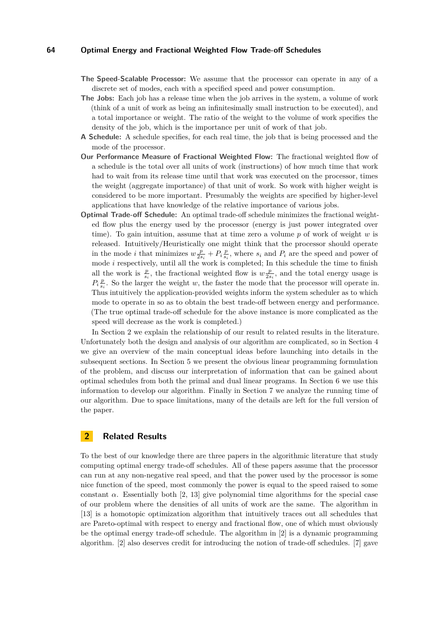- **The Speed-Scalable Processor:** We assume that the processor can operate in any of a discrete set of modes, each with a specified speed and power consumption.
- **The Jobs:** Each job has a release time when the job arrives in the system, a volume of work (think of a unit of work as being an infinitesimally small instruction to be executed), and a total importance or weight. The ratio of the weight to the volume of work specifies the density of the job, which is the importance per unit of work of that job.
- **A Schedule:** A schedule specifies, for each real time, the job that is being processed and the mode of the processor.
- **Our Performance Measure of Fractional Weighted Flow:** The fractional weighted flow of a schedule is the total over all units of work (instructions) of how much time that work had to wait from its release time until that work was executed on the processor, times the weight (aggregate importance) of that unit of work. So work with higher weight is considered to be more important. Presumably the weights are specified by higher-level applications that have knowledge of the relative importance of various jobs.
- **Optimal Trade-off Schedule:** An optimal trade-off schedule minimizes the fractional weighted flow plus the energy used by the processor (energy is just power integrated over time). To gain intuition, assume that at time zero a volume *p* of work of weight *w* is released. Intuitively/Heuristically one might think that the processor should operate in the mode *i* that minimizes  $w \frac{p}{2s_i} + P_i \frac{p}{s_i}$ , where  $s_i$  and  $P_i$  are the speed and power of mode *i* respectively, until all the work is completed; In this schedule the time to finish all the work is  $\frac{p}{s_i}$ , the fractional weighted flow is  $w \frac{p}{2s_i}$ , and the total energy usage is  $P_i \frac{p}{s_i}$ . So the larger the weight *w*, the faster the mode that the processor will operate in. Thus intuitively the application-provided weights inform the system scheduler as to which mode to operate in so as to obtain the best trade-off between energy and performance. (The true optimal trade-off schedule for the above instance is more complicated as the speed will decrease as the work is completed.)

In Section [2](#page-1-0) we explain the relationship of our result to related results in the literature. Unfortunately both the design and analysis of our algorithm are complicated, so in Section [4](#page-3-0) we give an overview of the main conceptual ideas before launching into details in the subsequent sections. In Section [5](#page-4-0) we present the obvious linear programming formulation of the problem, and discuss our interpretation of information that can be gained about optimal schedules from both the primal and dual linear programs. In Section [6](#page-6-0) we use this information to develop our algorithm. Finally in Section [7](#page-10-0) we analyze the running time of our algorithm. Due to space limitations, many of the details are left for the full version of the paper.

# <span id="page-1-0"></span>**2 Related Results**

To the best of our knowledge there are three papers in the algorithmic literature that study computing optimal energy trade-off schedules. All of these papers assume that the processor can run at any non-negative real speed, and that the power used by the processor is some nice function of the speed, most commonly the power is equal to the speed raised to some constant  $\alpha$ . Essentially both [\[2,](#page-11-1) [13\]](#page-11-2) give polynomial time algorithms for the special case of our problem where the densities of all units of work are the same. The algorithm in [\[13\]](#page-11-2) is a homotopic optimization algorithm that intuitively traces out all schedules that are Pareto-optimal with respect to energy and fractional flow, one of which must obviously be the optimal energy trade-off schedule. The algorithm in [\[2\]](#page-11-1) is a dynamic programming algorithm. [\[2\]](#page-11-1) also deserves credit for introducing the notion of trade-off schedules. [\[7\]](#page-11-3) gave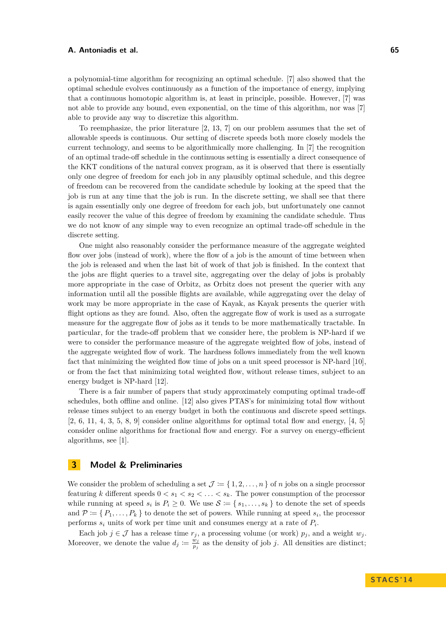a polynomial-time algorithm for recognizing an optimal schedule. [\[7\]](#page-11-3) also showed that the optimal schedule evolves continuously as a function of the importance of energy, implying that a continuous homotopic algorithm is, at least in principle, possible. However, [\[7\]](#page-11-3) was not able to provide any bound, even exponential, on the time of this algorithm, nor was [\[7\]](#page-11-3) able to provide any way to discretize this algorithm.

To reemphasize, the prior literature [\[2,](#page-11-1) [13,](#page-11-2) [7\]](#page-11-3) on our problem assumes that the set of allowable speeds is continuous. Our setting of discrete speeds both more closely models the current technology, and seems to be algorithmically more challenging. In [\[7\]](#page-11-3) the recognition of an optimal trade-off schedule in the continuous setting is essentially a direct consequence of the KKT conditions of the natural convex program, as it is observed that there is essentially only one degree of freedom for each job in any plausibly optimal schedule, and this degree of freedom can be recovered from the candidate schedule by looking at the speed that the job is run at any time that the job is run. In the discrete setting, we shall see that there is again essentially only one degree of freedom for each job, but unfortunately one cannot easily recover the value of this degree of freedom by examining the candidate schedule. Thus we do not know of any simple way to even recognize an optimal trade-off schedule in the discrete setting.

One might also reasonably consider the performance measure of the aggregate weighted flow over jobs (instead of work), where the flow of a job is the amount of time between when the job is released and when the last bit of work of that job is finished. In the context that the jobs are flight queries to a travel site, aggregating over the delay of jobs is probably more appropriate in the case of Orbitz, as Orbitz does not present the querier with any information until all the possible flights are available, while aggregating over the delay of work may be more appropriate in the case of Kayak, as Kayak presents the querier with flight options as they are found. Also, often the aggregate flow of work is used as a surrogate measure for the aggregate flow of jobs as it tends to be more mathematically tractable. In particular, for the trade-off problem that we consider here, the problem is NP-hard if we were to consider the performance measure of the aggregate weighted flow of jobs, instead of the aggregate weighted flow of work. The hardness follows immediately from the well known fact that minimizing the weighted flow time of jobs on a unit speed processor is NP-hard [\[10\]](#page-11-4), or from the fact that minimizing total weighted flow, without release times, subject to an energy budget is NP-hard [\[12\]](#page-11-5).

There is a fair number of papers that study approximately computing optimal trade-off schedules, both offline and online. [\[12\]](#page-11-5) also gives PTAS's for minimizing total flow without release times subject to an energy budget in both the continuous and discrete speed settings.  $[2, 6, 11, 4, 3, 5, 8, 9]$  $[2, 6, 11, 4, 3, 5, 8, 9]$  $[2, 6, 11, 4, 3, 5, 8, 9]$  $[2, 6, 11, 4, 3, 5, 8, 9]$  $[2, 6, 11, 4, 3, 5, 8, 9]$  $[2, 6, 11, 4, 3, 5, 8, 9]$  $[2, 6, 11, 4, 3, 5, 8, 9]$  $[2, 6, 11, 4, 3, 5, 8, 9]$  $[2, 6, 11, 4, 3, 5, 8, 9]$  $[2, 6, 11, 4, 3, 5, 8, 9]$  $[2, 6, 11, 4, 3, 5, 8, 9]$  $[2, 6, 11, 4, 3, 5, 8, 9]$  $[2, 6, 11, 4, 3, 5, 8, 9]$  $[2, 6, 11, 4, 3, 5, 8, 9]$  $[2, 6, 11, 4, 3, 5, 8, 9]$  consider online algorithms for optimal total flow and energy,  $[4, 5]$  $[4, 5]$  $[4, 5]$ consider online algorithms for fractional flow and energy. For a survey on energy-efficient algorithms, see [\[1\]](#page-11-13).

# <span id="page-2-0"></span>**3 Model & Preliminaries**

We consider the problem of scheduling a set  $\mathcal{J} = \{1, 2, \ldots, n\}$  of *n* jobs on a single processor featuring *k* different speeds  $0 < s_1 < s_2 < \ldots < s_k$ . The power consumption of the processor while running at speed  $s_i$  is  $P_i \geq 0$ . We use  $S := \{s_1, \ldots, s_k\}$  to denote the set of speeds and  $\mathcal{P} \coloneqq \{P_1, \ldots, P_k\}$  to denote the set of powers. While running at speed  $s_i$ , the processor performs  $s_i$  units of work per time unit and consumes energy at a rate of  $P_i$ .

Each job  $j \in \mathcal{J}$  has a release time  $r_j$ , a processing volume (or work)  $p_j$ , and a weight  $w_j$ . Moreover, we denote the value  $d_j \coloneqq \frac{w_j}{n_j}$  $\frac{w_j}{p_j}$  as the density of job *j*. All densities are distinct;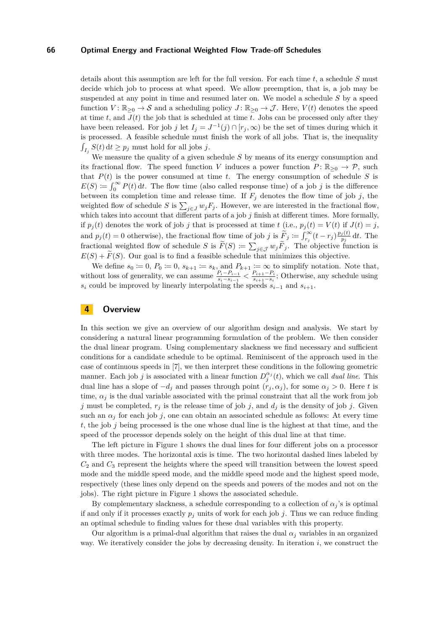details about this assumption are left for the full version. For each time *t*, a schedule *S* must decide which job to process at what speed. We allow preemption, that is, a job may be suspended at any point in time and resumed later on. We model a schedule *S* by a speed function  $V: \mathbb{R}_{\geq 0} \to \mathcal{S}$  and a scheduling policy  $J: \mathbb{R}_{\geq 0} \to \mathcal{J}$ . Here,  $V(t)$  denotes the speed at time  $t$ , and  $J(t)$  the job that is scheduled at time  $t$ . Jobs can be processed only after they have been released. For job *j* let  $I_j = J^{-1}(j) \cap [r_j, \infty)$  be the set of times during which it is processed. A feasible schedule must finish the work of all jobs. That is, the inequality  $\int_{I_j} S(t) dt \geq p_j$  must hold for all jobs *j*.

We measure the quality of a given schedule *S* by means of its energy consumption and its fractional flow. The speed function *V* induces a power function  $P: \mathbb{R}_{\geq 0} \to \mathcal{P}$ , such that  $P(t)$  is the power consumed at time *t*. The energy consumption of schedule *S* is  $E(S) \coloneqq \int_0^\infty P(t) dt$ . The flow time (also called response time) of a job *j* is the difference between its completion time and release time. If  $F_j$  denotes the flow time of job  $j$ , the weighted flow of schedule *S* is  $\sum_{j\in J} w_j F_j$ . However, we are interested in the fractional flow, which takes into account that different parts of a job  $j$  finish at different times. More formally, if  $p_j(t)$  denotes the work of job *j* that is processed at time *t* (i.e.,  $p_j(t) = V(t)$  if  $J(t) = j$ , and  $p_j(t) = 0$  otherwise), the fractional flow time of job *j* is  $\widetilde{F}_j := \int_{r_j}^{\infty} (t - r_j) \frac{p_j(t)}{p_j}$  $\frac{j(t)}{p_j}$  dt. The fractional weighted flow of schedule *S* is  $F(S) := \sum_{j \in \mathcal{J}} w_j F_j$ . The objective function is  $E(S) + F(S)$ . Our goal is to find a feasible schedule that minimizes this objective.

We define  $s_0 \coloneqq 0$ ,  $P_0 \coloneqq 0$ ,  $s_{k+1} \coloneqq s_k$ , and  $P_{k+1} \coloneqq \infty$  to simplify notation. Note that, without loss of generality, we can assume  $\frac{P_i - P_{i-1}}{s_i - s_{i-1}} < \frac{P_{i+1} - P_i}{s_{i+1} - s_i}$  $\frac{F_{i+1}-F_i}{s_{i+1}-s_i}$ ; Otherwise, any schedule using *s*<sup>*i*</sup> could be improved by linearly interpolating the speeds  $s_{i-1}$  and  $s_{i+1}$ .

## <span id="page-3-0"></span>**4 Overview**

In this section we give an overview of our algorithm design and analysis. We start by considering a natural linear programming formulation of the problem. We then consider the dual linear program. Using complementary slackness we find necessary and sufficient conditions for a candidate schedule to be optimal. Reminiscent of the approach used in the case of continuous speeds in [\[7\]](#page-11-3), we then interpret these conditions in the following geometric manner. Each job *j* is associated with a linear function  $D_j^{\alpha_j}(t)$ , which we call *dual line*. This dual line has a slope of  $-d_j$  and passes through point  $(r_j, \alpha_j)$ , for some  $\alpha_j > 0$ . Here *t* is time,  $\alpha_i$  is the dual variable associated with the primal constraint that all the work from job *j* must be completed,  $r_j$  is the release time of job *j*, and  $d_j$  is the density of job *j*. Given such an  $\alpha_i$  for each job *j*, one can obtain an associated schedule as follows: At every time *t*, the job *j* being processed is the one whose dual line is the highest at that time, and the speed of the processor depends solely on the height of this dual line at that time.

The left picture in Figure [1](#page-4-1) shows the dual lines for four different jobs on a processor with three modes. The horizontal axis is time. The two horizontal dashed lines labeled by  $C_2$  and  $C_3$  represent the heights where the speed will transition between the lowest speed mode and the middle speed mode, and the middle speed mode and the highest speed mode, respectively (these lines only depend on the speeds and powers of the modes and not on the jobs). The right picture in Figure [1](#page-4-1) shows the associated schedule.

By complementary slackness, a schedule corresponding to a collection of  $\alpha_j$ 's is optimal if and only if it processes exactly  $p_j$  units of work for each job  $j$ . Thus we can reduce finding an optimal schedule to finding values for these dual variables with this property.

Our algorithm is a primal-dual algorithm that raises the dual  $\alpha_j$  variables in an organized way. We iteratively consider the jobs by decreasing density. In iteration *i*, we construct the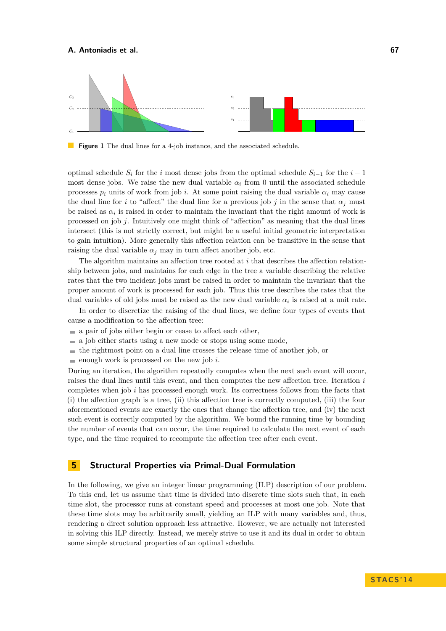<span id="page-4-1"></span>

**Figure 1** The dual lines for a 4-job instance, and the associated schedule.

optimal schedule  $S_i$  for the *i* most dense jobs from the optimal schedule  $S_{i-1}$  for the  $i-1$ most dense jobs. We raise the new dual variable  $\alpha_i$  from 0 until the associated schedule processes  $p_i$  units of work from job *i*. At some point raising the dual variable  $\alpha_i$  may cause the dual line for *i* to "affect" the dual line for a previous job *j* in the sense that  $\alpha_j$  must be raised as  $\alpha_i$  is raised in order to maintain the invariant that the right amount of work is processed on job *j*. Intuitively one might think of "affection" as meaning that the dual lines intersect (this is not strictly correct, but might be a useful initial geometric interpretation to gain intuition). More generally this affection relation can be transitive in the sense that raising the dual variable  $\alpha_j$  may in turn affect another job, etc.

The algorithm maintains an affection tree rooted at *i* that describes the affection relationship between jobs, and maintains for each edge in the tree a variable describing the relative rates that the two incident jobs must be raised in order to maintain the invariant that the proper amount of work is processed for each job. Thus this tree describes the rates that the dual variables of old jobs must be raised as the new dual variable  $\alpha_i$  is raised at a unit rate.

In order to discretize the raising of the dual lines, we define four types of events that cause a modification to the affection tree:

- a pair of jobs either begin or cease to affect each other,
- $\blacksquare$  a job either starts using a new mode or stops using some mode,
- $\blacksquare$  the rightmost point on a dual line crosses the release time of another job, or
- enough work is processed on the new job  $i$ .

During an iteration, the algorithm repeatedly computes when the next such event will occur, raises the dual lines until this event, and then computes the new affection tree. Iteration *i* completes when job *i* has processed enough work. Its correctness follows from the facts that (i) the affection graph is a tree, (ii) this affection tree is correctly computed, (iii) the four aforementioned events are exactly the ones that change the affection tree, and (iv) the next such event is correctly computed by the algorithm. We bound the running time by bounding the number of events that can occur, the time required to calculate the next event of each type, and the time required to recompute the affection tree after each event.

## <span id="page-4-0"></span>**5 Structural Properties via Primal-Dual Formulation**

In the following, we give an integer linear programming (ILP) description of our problem. To this end, let us assume that time is divided into discrete time slots such that, in each time slot, the processor runs at constant speed and processes at most one job. Note that these time slots may be arbitrarily small, yielding an ILP with many variables and, thus, rendering a direct solution approach less attractive. However, we are actually not interested in solving this ILP directly. Instead, we merely strive to use it and its dual in order to obtain some simple structural properties of an optimal schedule.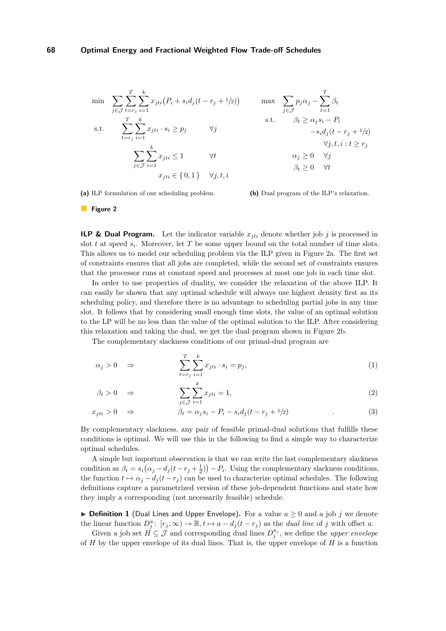<span id="page-5-0"></span>
$$
\min \sum_{j \in \mathcal{J}} \sum_{t=r_j}^{T} \sum_{i=1}^{k} x_{jti} (P_i + s_i d_j (t - r_j + 1/2)) \qquad \max \sum_{j \in \mathcal{J}} p_j \alpha_j - \sum_{t=1}^{T} \beta_t
$$
\n
$$
\text{s.t.} \qquad \sum_{t=r_j}^{T} \sum_{i=1}^{k} x_{jti} \cdot s_i \ge p_j \qquad \forall j
$$
\n
$$
\sum_{j \in \mathcal{J}} \sum_{i=1}^{r} x_{jti} \le 1 \qquad \forall t \qquad \qquad \alpha_j \ge 0 \qquad \forall j
$$
\n
$$
\sum_{j \in \mathcal{J}} \sum_{i=1}^{k} x_{jti} \le 1 \qquad \forall t \qquad \qquad \alpha_j \ge 0 \qquad \forall j
$$
\n
$$
\beta_t \ge 0 \qquad \forall t
$$
\n
$$
\beta_t \ge 0 \qquad \forall t
$$

**(a)** ILP formulation of our scheduling problem.

<span id="page-5-1"></span>**(b)** Dual program of the ILP's relaxation.

**Figure 2** 

**ILP & Dual Program.** Let the indicator variable *xjti* denote whether job *j* is processed in slot *t* at speed  $s_i$ . Moreover, let *T* be some upper bound on the total number of time slots. This allows us to model our scheduling problem via the ILP given in Figure [2a.](#page-5-0) The first set of constraints ensures that all jobs are completed, while the second set of constraints ensures that the processor runs at constant speed and processes at most one job in each time slot.

In order to use properties of duality, we consider the relaxation of the above ILP. It can easily be shown that any optimal schedule will always use highest density first as its scheduling policy, and therefore there is no advantage to scheduling partial jobs in any time slot. It follows that by considering small enough time slots, the value of an optimal solution to the LP will be no less than the value of the optimal solution to the ILP. After considering this relaxation and taking the dual, we get the dual program shown in Figure [2b.](#page-5-1)

The complementary slackness conditions of our primal-dual program are

$$
\alpha_j > 0 \quad \Rightarrow \qquad \qquad \sum_{t=r_j}^{T} \sum_{i=1}^{k} x_{jti} \cdot s_i = p_j,\tag{1}
$$

$$
\beta_t > 0 \quad \Rightarrow \qquad \sum_{j \in \mathcal{J}} \sum_{i=1}^n x_{jti} = 1,\tag{2}
$$

$$
x_{jti} > 0 \quad \Rightarrow \qquad \beta_t = \alpha_j s_i - P_i - s_i d_j (t - r_j + 1/2) \tag{3}
$$

By complementary slackness, any pair of feasible primal-dual solutions that fulfills these conditions is optimal. We will use this in the following to find a simple way to characterize optimal schedules.

A simple but important observation is that we can write the last complementary slackness condition as  $\beta_t = s_i(\alpha_j - d_j(t - r_j + \frac{1}{2})) - P_i$ . Using the complementary slackness conditions, the function  $t \mapsto \alpha_j - d_j(t - r_j)$  can be used to characterize optimal schedules. The following definitions capture a parametrized version of these job-dependent functions and state how they imply a corresponding (not necessarily feasible) schedule.

▶ **Definition 1** (Dual Lines and Upper Envelope). For a value  $a \ge 0$  and a job *j* we denote the linear function  $D_j^a$ :  $[r_j, \infty) \to \mathbb{R}, t \mapsto a - d_j(t - r_j)$  as the *dual line* of *j* with offset *a*.

Given a job set  $H \subseteq \mathcal{J}$  and corresponding dual lines  $D_j^{a_j}$ , we define the *upper envelope* of *H* by the upper envelope of its dual lines. That is, the upper envelope of *H* is a function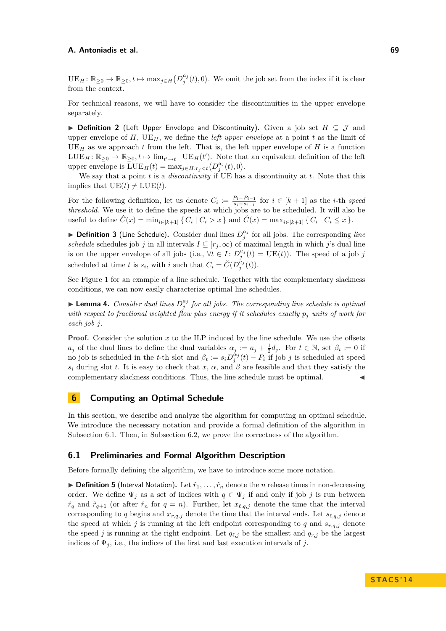$UE_H: \mathbb{R}_{\geq 0} \to \mathbb{R}_{\geq 0}, t \mapsto \max_{j \in H} (D_j^{a_j}(t), 0)$ . We omit the job set from the index if it is clear from the context.

For technical reasons, we will have to consider the discontinuities in the upper envelope separately.

**► Definition 2** (Left Upper Envelope and Discontinuity). Given a job set  $H \subseteq \mathcal{J}$  and upper envelope of  $H$ ,  $UE<sub>H</sub>$ , we define the *left upper envelope* at a point  $t$  as the limit of  $UE<sub>H</sub>$  as we approach *t* from the left. That is, the left upper envelope of *H* is a function  $LUE_H: \mathbb{R}_{\geq 0} \to \mathbb{R}_{\geq 0}, t \mapsto \lim_{t' \to t^-} UE_H(t')$ . Note that an equivalent definition of the left upper envelope is  $\overline{\text{LUE}}_H(t) = \max_{j \in H: r_j < t} (D_j^{a_j}(t), 0).$ 

We say that a point *t* is a *discontinuity* if UE has a discontinuity at *t*. Note that this implies that  $UE(t) \neq LUE(t)$ .

For the following definition, let us denote  $C_i := \frac{P_i - P_{i-1}}{S_i - S_{i-1}}$  $\frac{P_i - P_{i-1}}{s_i - s_{i-1}}$  for  $i \in [k+1]$  as the *i*-th *speed threshold*. We use it to define the speeds at which jobs are to be scheduled. It will also be useful to define  $\hat{C}(x) = \min_{i \in [k+1]} \{ C_i | C_i > x \}$  and  $\check{C}(x) = \max_{i \in [k+1]} \{ C_i | C_i \le x \}.$ 

**Definition 3** (Line Schedule). Consider dual lines  $D_j^{a_j}$  for all jobs. The corresponding *line schedule* schedules job *j* in all intervals  $I \subseteq [r_j, \infty)$  of maximal length in which *j*'s dual line is on the upper envelope of all jobs (i.e.,  $\forall t \in I : D_j^{a_j}(t) = \text{UE}(t)$ ). The speed of a job *j* scheduled at time *t* is  $s_i$ , with *i* such that  $C_i = \check{C}(D_j^{\check{a}_j}(t))$ .

See Figure [1](#page-4-1) for an example of a line schedule. Together with the complementary slackness conditions, we can now easily characterize optimal line schedules.

<span id="page-6-2"></span>**Lemma 4.** *Consider dual lines*  $D_j^{a_j}$  *for all jobs. The corresponding line schedule is optimal with respect to fractional weighted flow plus energy if it schedules exactly p<sup>j</sup> units of work for each job j.*

**Proof.** Consider the solution x to the ILP induced by the line schedule. We use the offsets *a*<sup>*j*</sup> of the dual lines to define the dual variables  $\alpha_j := a_j + \frac{1}{2}d_j$ . For  $t \in \mathbb{N}$ , set  $\beta_t := 0$  if no job is scheduled in the *t*-th slot and  $\beta_t := s_i D_j^{\alpha_j}(t) - P_i$  if job *j* is scheduled at speed *s*<sup>*i*</sup> during slot *t*. It is easy to check that *x*,  $\alpha$ , and  $\beta$  are feasible and that they satisfy the complementary slackness conditions. Thus, the line schedule must be optimal.

# <span id="page-6-0"></span>**6 Computing an Optimal Schedule**

In this section, we describe and analyze the algorithm for computing an optimal schedule. We introduce the necessary notation and provide a formal definition of the algorithm in Subsection [6.1.](#page-6-1) Then, in Subsection [6.2,](#page-8-0) we prove the correctness of the algorithm.

#### <span id="page-6-1"></span>**6.1 Preliminaries and Formal Algorithm Description**

Before formally defining the algorithm, we have to introduce some more notation.

 $\triangleright$  **Definition 5** (Interval Notation). Let  $\hat{r}_1, \ldots, \hat{r}_n$  denote the *n* release times in non-decreasing order. We define  $\Psi_j$  as a set of indices with  $q \in \Psi_j$  if and only if job *j* is run between  $\hat{r}_q$  and  $\hat{r}_{q+1}$  (or after  $\hat{r}_n$  for  $q = n$ ). Further, let  $x_{\ell,q,j}$  denote the time that the interval corresponding to *q* begins and  $x_{r,q,j}$  denote the time that the interval ends. Let  $s_{\ell,q,j}$  denote the speed at which *j* is running at the left endpoint corresponding to *q* and  $s_{r,q,j}$  denote the speed *j* is running at the right endpoint. Let  $q_{\ell,j}$  be the smallest and  $q_{r,j}$  be the largest indices of  $\Psi_j$ , i.e., the indices of the first and last execution intervals of *j*.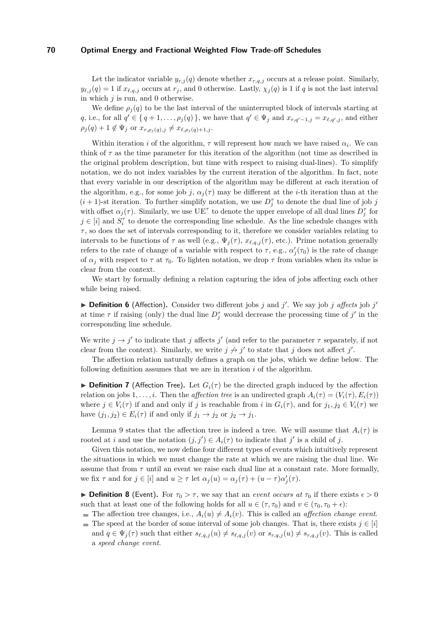Let the indicator variable  $y_{r,j}(q)$  denote whether  $x_{r,q,j}$  occurs at a release point. Similarly,  $y_{\ell,j}(q) = 1$  if  $x_{\ell,q,j}$  occurs at  $r_j$ , and 0 otherwise. Lastly,  $\chi_j(q)$  is 1 if *q* is not the last interval in which *j* is run, and 0 otherwise.

We define  $\rho_i(q)$  to be the last interval of the uninterrupted block of intervals starting at *q*, i.e., for all  $q' \in \{q+1,\ldots,\rho_j(q)\}\$ , we have that  $q' \in \Psi_j$  and  $x_{r,q'-1,j} = x_{\ell,q',j}$ , and either  $\rho_j(q) + 1 \notin \Psi_j$  or  $x_{r,\rho_j(q),j} \neq x_{\ell,\rho_j(q)+1,j}$ .

Within iteration *i* of the algorithm,  $\tau$  will represent how much we have raised  $\alpha_i$ . We can think of  $\tau$  as the time parameter for this iteration of the algorithm (not time as described in the original problem description, but time with respect to raising dual-lines). To simplify notation, we do not index variables by the current iteration of the algorithm. In fact, note that every variable in our description of the algorithm may be different at each iteration of the algorithm, e.g., for some job *j*,  $\alpha_j(\tau)$  may be different at the *i*-th iteration than at the  $(i + 1)$ -st iteration. To further simplify notation, we use  $D_j^{\tau}$  to denote the dual line of job *j* with offset  $\alpha_j(\tau)$ . Similarly, we use  $UE^{\tau}$  to denote the upper envelope of all dual lines  $D_j^{\tau}$  for  $j \in [i]$  and  $S_i^{\tau}$  to denote the corresponding line schedule. As the line schedule changes with *τ* , so does the set of intervals corresponding to it, therefore we consider variables relating to intervals to be functions of  $\tau$  as well (e.g.,  $\Psi_j(\tau)$ ,  $x_{\ell,q,j}(\tau)$ , etc.). Prime notation generally refers to the rate of change of a variable with respect to  $\tau$ , e.g.,  $\alpha'_{j}(\tau_0)$  is the rate of change of  $\alpha_j$  with respect to  $\tau$  at  $\tau_0$ . To lighten notation, we drop  $\tau$  from variables when its value is clear from the context.

We start by formally defining a relation capturing the idea of jobs affecting each other while being raised.

 $\triangleright$  **Definition 6** (Affection). Consider two different jobs *j* and *j'*. We say job *j affects* job *j'* at time  $\tau$  if raising (only) the dual line  $D_j^{\tau}$  would decrease the processing time of *j'* in the corresponding line schedule.

We write  $j \to j'$  to indicate that *j* affects *j'* (and refer to the parameter  $\tau$  separately, if not clear from the context). Similarly, we write  $j \nightharpoonup j'$  to state that *j* does not affect *j'*.

The affection relation naturally defines a graph on the jobs, which we define below. The following definition assumes that we are in iteration *i* of the algorithm.

<span id="page-7-0"></span>**Definition 7** (Affection Tree). Let  $G_i(\tau)$  be the directed graph induced by the affection relation on jobs 1, ..., *i*. Then the *affection tree* is an undirected graph  $A_i(\tau) = (V_i(\tau), E_i(\tau))$ where  $j \in V_i(\tau)$  if and and only if *j* is reachable from *i* in  $G_i(\tau)$ , and for  $j_1, j_2 \in V_i(\tau)$  we have  $(j_1, j_2) \in E_i(\tau)$  if and only if  $j_1 \to j_2$  or  $j_2 \to j_1$ .

Lemma [9](#page-8-1) states that the affection tree is indeed a tree. We will assume that  $A_i(\tau)$  is rooted at *i* and use the notation  $(j, j') \in A_i(\tau)$  to indicate that *j'* is a child of *j*.

Given this notation, we now define four different types of events which intuitively represent the situations in which we must change the rate at which we are raising the dual line. We assume that from  $\tau$  until an event we raise each dual line at a constant rate. More formally, we fix  $\tau$  and for  $j \in [i]$  and  $u \geq \tau$  let  $\alpha_j(u) = \alpha_j(\tau) + (u - \tau)\alpha'_j(\tau)$ .

**Definition 8** (Event). For  $\tau_0 > \tau$ , we say that an *event occurs at*  $\tau_0$  if there exists  $\epsilon > 0$ such that at least one of the following holds for all  $u \in (\tau, \tau_0)$  and  $v \in (\tau_0, \tau_0 + \epsilon)$ :

- The affection tree changes, i.e.,  $A_i(u) \neq A_i(v)$ . This is called an *affection change event*.
- The speed at the border of some interval of some job changes. That is, there exists  $j \in [i]$ and  $q \in \Psi_j(\tau)$  such that either  $s_{\ell,q,j}(u) \neq s_{\ell,q,j}(v)$  or  $s_{r,q,j}(u) \neq s_{r,q,j}(v)$ . This is called a *speed change event*.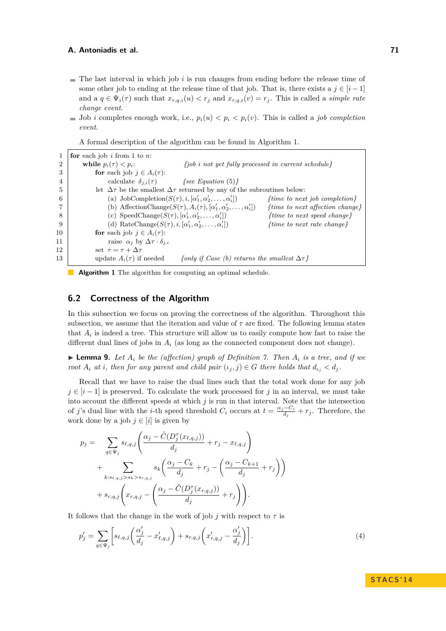- $\blacksquare$  The last interval in which job *i* is run changes from ending before the release time of some other job to ending at the release time of that job. That is, there exists a  $j \in [i-1]$ and a  $q \in \Psi_i(\tau)$  such that  $x_{r,q,i}(u) < r_j$  and  $x_{r,q,i}(v) = r_j$ . This is called a *simple rate change event*.
- $\blacksquare$  Job *i* completes enough work, i.e.,  $p_i(u) < p_i < p_i(v)$ . This is called a *job completion event*.

A formal description of the algorithm can be found in Algorithm [1.](#page-8-2)

<span id="page-8-2"></span>

|                | for each job i from 1 to n:                                                               |                                                                                       |                                       |
|----------------|-------------------------------------------------------------------------------------------|---------------------------------------------------------------------------------------|---------------------------------------|
| $\overline{2}$ | while $p_i(\tau) < p_i$ :                                                                 | $\{job\ i\ not\ yet\ fully\ processed\ in\ current\ schedule\}$                       |                                       |
| 3              | for each job $j \in A_i(\tau)$ :                                                          |                                                                                       |                                       |
| 4              | calculate $\delta_{i,i}(\tau)$                                                            | {see Equation $(5)$ }                                                                 |                                       |
| 5              | let $\Delta \tau$ be the smallest $\Delta \tau$ returned by any of the subroutines below: |                                                                                       |                                       |
| 6              | (a) JobCompletion $(S(\tau), i, [\alpha'_1, \alpha'_2, \ldots, \alpha'_i])$               |                                                                                       | ${time\ to\ next\ job\ completion}$   |
| 7              |                                                                                           | (b) AffectionChange $(S(\tau), A_i(\tau), [\alpha'_1, \alpha'_2, \ldots, \alpha'_i])$ | ${time\ to\ next\ affection\ change}$ |
| 8              | (c) SpeedChange $(S(\tau), [\alpha'_1, \alpha'_2, \ldots, \alpha'_i])$                    |                                                                                       | {time to next speed change}           |
| -9             | (d) RateChange $(S(\tau), i, [\alpha'_1, \alpha'_2, \ldots, \alpha'_i])$                  |                                                                                       | $\{time\ to\ next\ rate\ change\}$    |
| 10             | for each job $j \in A_i(\tau)$ :                                                          |                                                                                       |                                       |
| 11             | raise $\alpha_i$ by $\Delta \tau \cdot \delta_{i,i}$                                      |                                                                                       |                                       |
| 12             | set $\tau = \tau + \Delta \tau$                                                           |                                                                                       |                                       |
| 13             | update $A_i(\tau)$ if needed                                                              | {only if Case (b) returns the smallest $\Delta \tau$ }                                |                                       |
|                |                                                                                           |                                                                                       |                                       |

**Algorithm 1** The algorithm for computing an optimal schedule.

## <span id="page-8-0"></span>**6.2 Correctness of the Algorithm**

In this subsection we focus on proving the correctness of the algorithm. Throughout this subsection, we assume that the iteration and value of *τ* are fixed. The following lemma states that  $A_i$  is indeed a tree. This structure will allow us to easily compute how fast to raise the different dual lines of jobs in  $A_i$  (as long as the connected component does not change).

<span id="page-8-1"></span> $\blacktriangleright$  **Lemma 9.** Let  $A_i$  be the (affection) graph of Definition [7.](#page-7-0) Then  $A_i$  is a tree, and if we *root*  $A_i$  *at i*, *then for any parent and child pair*  $(\iota_j, j) \in G$  *there holds that*  $d_{\iota_j} < d_j$ *.* 

Recall that we have to raise the dual lines such that the total work done for any job  $j \in [i-1]$  is preserved. To calculate the work processed for *j* in an interval, we must take into account the different speeds at which  $j$  is run in that interval. Note that the intersection of *j*'s dual line with the *i*-th speed threshold  $C_i$  occurs at  $t = \frac{\alpha_j - C_i}{d_i}$  $\frac{d_i - C_i}{d_j} + r_j$ . Therefore, the work done by a job  $j \in [i]$  is given by

$$
p_j = \sum_{q \in \Psi_j} s_{\ell,q,j} \left( \frac{\alpha_j - \check{C}(D_j^{\tau}(x_{\ell,q,j}))}{d_j} + r_j - x_{\ell,q,j} \right)
$$
  
+ 
$$
\sum_{k:s_{\ell,q,j} > s_k > s_{r,q,j}} s_k \left( \frac{\alpha_j - C_k}{d_j} + r_j - \left( \frac{\alpha_j - C_{k+1}}{d_j} + r_j \right) \right)
$$
  
+ 
$$
s_{r,q,j} \left( x_{r,q,j} - \left( \frac{\alpha_j - \hat{C}(D_j^{\tau}(x_{r,q,j}))}{d_j} + r_j \right) \right).
$$

It follows that the change in the work of job  $j$  with respect to  $\tau$  is

$$
p_j' = \sum_{q \in \Psi_j} \left[ s_{\ell,q,j} \left( \frac{\alpha_j'}{d_j} - x_{\ell,q,j}' \right) + s_{r,q,j} \left( x_{r,q,j}' - \frac{\alpha_j'}{d_j} \right) \right]. \tag{4}
$$

<span id="page-8-3"></span>**S TAC S ' 1 4**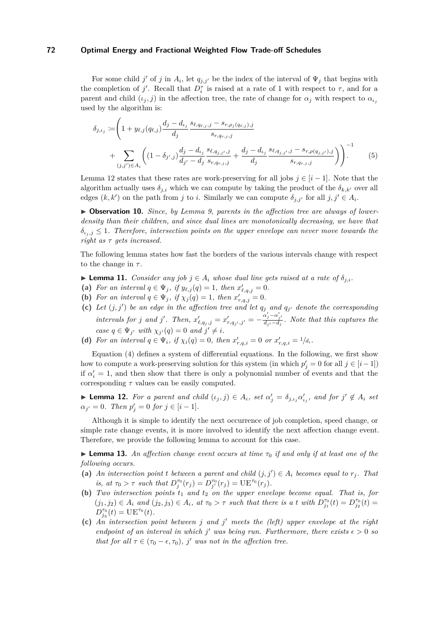For some child *j'* of *j* in  $A_i$ , let  $q_{j,j'}$  be the index of the interval of  $\Psi_j$  that begins with the completion of *j'*. Recall that  $D_i^{\tau}$  is raised at a rate of 1 with respect to  $\tau$ , and for a parent and child  $(\iota_i, j)$  in the affection tree, the rate of change for  $\alpha_i$  with respect to  $\alpha_i$ used by the algorithm is:

<span id="page-9-0"></span>
$$
\delta_{j,\iota_j} := \left( 1 + y_{\ell,j} (q_{\ell,j}) \frac{d_j - d_{\iota_j}}{d_j} \frac{s_{\ell,q_{\ell,j},j} - s_{r,\rho_j(q_{\ell,j}),j}}{s_{r,q_{r,j},j}} + \sum_{(j,j') \in A_i} \left( (1 - \delta_{j',j}) \frac{d_j - d_{\iota_j}}{d_{j'} - d_j} \frac{s_{\ell,q_{j,j',j}}}{s_{r,q_{r,j},j}} + \frac{d_j - d_{\iota_j}}{d_j} \frac{s_{\ell,q_{j,j',j}} - s_{r,\rho(q_{j,j'}),j}}{s_{r,q_{r,j},j}} \right) \right)^{-1} \tag{5}
$$

Lemma [12](#page-9-1) states that these rates are work-preserving for all jobs  $j \in [i-1]$ . Note that the algorithm actually uses  $\delta_{j,i}$  which we can compute by taking the product of the  $\delta_{k,k'}$  over all edges  $(k, k')$  on the path from *j* to *i*. Similarly we can compute  $\delta_{j, j'}$  for all  $j, j' \in A_i$ .

<span id="page-9-4"></span>▶ Observation 10. *Since, by Lemma [9,](#page-8-1) parents in the affection tree are always of lowerdensity than their children, and since dual lines are monotonically decreasing, we have that*  $\delta_{i,j} \leq 1$ . Therefore, intersection points on the upper envelope can never move towards the *right as τ gets increased.*

The following lemma states how fast the borders of the various intervals change with respect to the change in *τ* .

<span id="page-9-3"></span>► **Lemma 11.** *Consider any job*  $j \in A_i$  *whose dual line gets raised at a rate of*  $\delta_{i,i}$ *.* 

- (a) *For an interval*  $q \in \Psi_j$ *, if*  $y_{\ell,j}(q) = 1$ *, then*  $x'_{\ell,q,j} = 0$ *.*
- **(b)** *For an interval*  $q \in \Psi_j$ *, if*  $\chi_j(q) = 1$ *, then*  $x'_{r,q,j} = 0$ *.*
- (c) Let  $(j, j')$  be an edge in the affection tree and let  $q_j$  and  $q_{j'}$  denote the corresponding intervals for j and j'. Then,  $x'_{\ell,q_j,j} = x'_{r,q_{j'},j'} = -\frac{\alpha'_{j} - \alpha'_{j'}}{d_{j'} - d_{j}}$ . Note that this captures the *case*  $q \in \Psi_{j'}$  *with*  $\chi_{j'}(q) = 0$  *and*  $j' \neq i$ *.*

(d) For an interval  $q \in \Psi_i$ , if  $\chi_i(q) = 0$ , then  $x'_{r,q,i} = 0$  or  $x'_{r,q,i} = 1/d_i$ .

Equation [\(4\)](#page-8-3) defines a system of differential equations. In the following, we first show how to compute a work-preserving solution for this system (in which  $p'_{j} = 0$  for all  $j \in [i-1]$ ) if  $\alpha_i' = 1$ , and then show that there is only a polynomial number of events and that the corresponding *τ* values can be easily computed.

<span id="page-9-1"></span>**Lemma 12.** For a parent and child  $(\iota_j, j) \in A_i$ , set  $\alpha'_j = \delta_{j, \iota_j} \alpha'_{\iota_j}$ , and for  $j' \notin A_i$  set  $\alpha_{j'} = 0$ *. Then*  $p'_{j} = 0$  for  $j \in [i-1]$ *.* 

Although it is simple to identify the next occurrence of job completion, speed change, or simple rate change events, it is more involved to identify the next affection change event. Therefore, we provide the following lemma to account for this case.

<span id="page-9-2"></span>I **Lemma 13.** *An affection change event occurs at time τ*<sup>0</sup> *if and only if at least one of the following occurs.*

- (a) *An intersection point t between a parent and child*  $(j, j') \in A_i$  *becomes equal to*  $r_j$ *. That is, at*  $\tau_0 > \tau$  *such that*  $D_j^{\tau_0}(r_j) = D_{j'}^{\tau_0}(r_j) = \text{UE}^{\tau_0}(r_j)$ .
- **(b)** *Two intersection points t*<sup>1</sup> *and t*<sup>2</sup> *on the upper envelope become equal. That is, for*  $(j_1, j_2) \in A_i$  and  $(j_2, j_3) \in A_i$ , at  $\tau_0 > \tau$  such that there is a t with  $D_{j_1}^{\tau_0}(t) = D_{j_2}^{\tau_0}(t)$  $D_{j_3}^{\tau_0}(t) = \mathrm{UE}^{\tau_0}(t)$ *.*
- **(c)** *An intersection point between j and j* <sup>0</sup> *meets the (left) upper envelope at the right endpoint of an interval in which*  $j'$  was being run. Furthermore, there exists  $\epsilon > 0$  so *that for all*  $\tau \in (\tau_0 - \epsilon, \tau_0)$ *, j' was not in the affection tree.*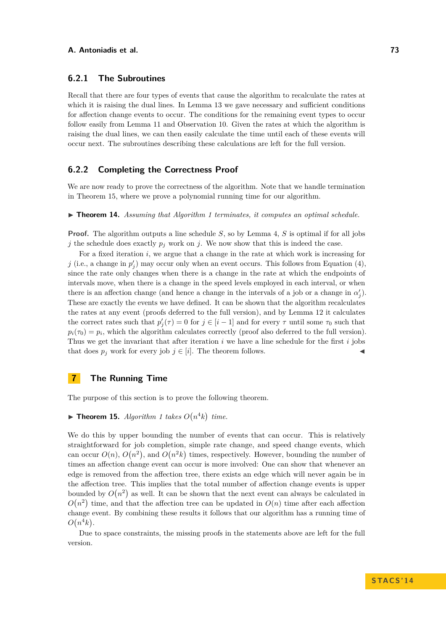## **6.2.1 The Subroutines**

Recall that there are four types of events that cause the algorithm to recalculate the rates at which it is raising the dual lines. In Lemma [13](#page-9-2) we gave necessary and sufficient conditions for affection change events to occur. The conditions for the remaining event types to occur follow easily from Lemma [11](#page-9-3) and Observation [10.](#page-9-4) Given the rates at which the algorithm is raising the dual lines, we can then easily calculate the time until each of these events will occur next. The subroutines describing these calculations are left for the full version.

## **6.2.2 Completing the Correctness Proof**

We are now ready to prove the correctness of the algorithm. Note that we handle termination in Theorem [15,](#page-10-1) where we prove a polynomial running time for our algorithm.

I **Theorem 14.** *Assuming that Algorithm [1](#page-8-2) terminates, it computes an optimal schedule.*

**Proof.** The algorithm outputs a line schedule *S*, so by Lemma [4,](#page-6-2) *S* is optimal if for all jobs *j* the schedule does exactly  $p_j$  work on *j*. We now show that this is indeed the case.

For a fixed iteration *i*, we argue that a change in the rate at which work is increasing for *j* (i.e., a change in  $p'_j$ ) may occur only when an event occurs. This follows from Equation [\(4\)](#page-8-3), since the rate only changes when there is a change in the rate at which the endpoints of intervals move, when there is a change in the speed levels employed in each interval, or when there is an affection change (and hence a change in the intervals of a job or a change in  $\alpha'_{j}$ ). These are exactly the events we have defined. It can be shown that the algorithm recalculates the rates at any event (proofs deferred to the full version), and by Lemma [12](#page-9-1) it calculates the correct rates such that  $p'_{j}(\tau) = 0$  for  $j \in [i-1]$  and for every  $\tau$  until some  $\tau_0$  such that  $p_i(\tau_0) = p_i$ , which the algorithm calculates correctly (proof also deferred to the full version). Thus we get the invariant that after iteration *i* we have a line schedule for the first *i* jobs that does  $p_j$  work for every job  $j \in [i]$ . The theorem follows.

# <span id="page-10-0"></span>**7 The Running Time**

The purpose of this section is to prove the following theorem.

# <span id="page-10-1"></span>**Find Theorem [1](#page-8-2)5.** *Algorithm 1 takes*  $O(n^4k)$  *time.*

We do this by upper bounding the number of events that can occur. This is relatively straightforward for job completion, simple rate change, and speed change events, which can occur  $O(n)$ ,  $O(n^2)$ , and  $O(n^2k)$  times, respectively. However, bounding the number of times an affection change event can occur is more involved: One can show that whenever an edge is removed from the affection tree, there exists an edge which will never again be in the affection tree. This implies that the total number of affection change events is upper bounded by  $O(n^2)$  as well. It can be shown that the next event can always be calculated in  $O(n^2)$  time, and that the affection tree can be updated in  $O(n)$  time after each affection change event. By combining these results it follows that our algorithm has a running time of  $O(n^4k)$ .

Due to space constraints, the missing proofs in the statements above are left for the full version.